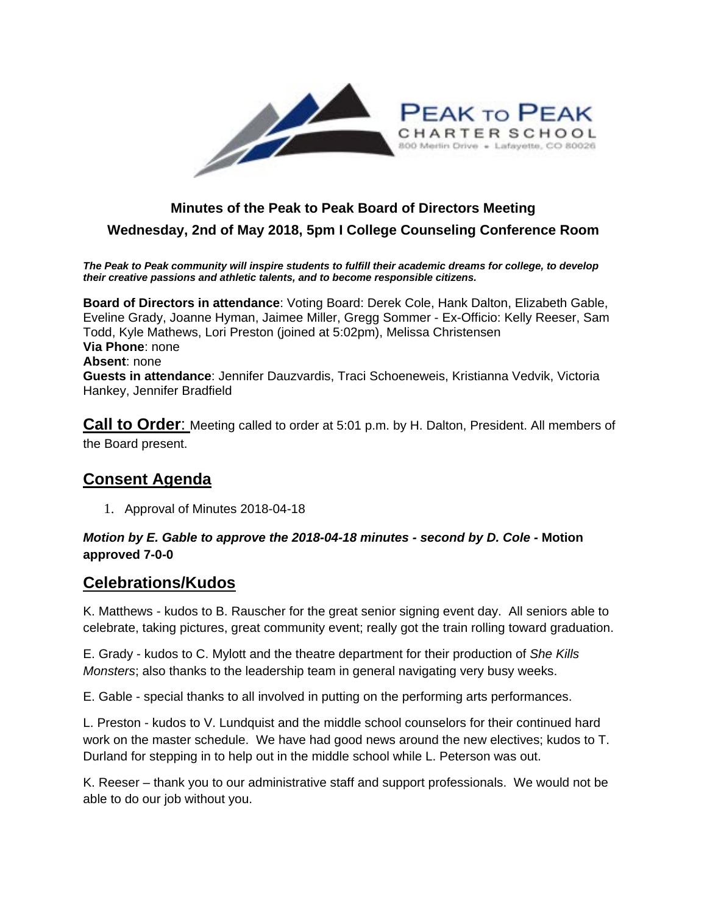

### **Minutes of the Peak to Peak Board of Directors Meeting Wednesday, 2nd of May 2018, 5pm I College Counseling Conference Room**

*The Peak to Peak community will inspire students to fulfill their academic dreams for college, to develop their creative passions and athletic talents, and to become responsible citizens.*

**Board of Directors in attendance**: Voting Board: Derek Cole, Hank Dalton, Elizabeth Gable, Eveline Grady, Joanne Hyman, Jaimee Miller, Gregg Sommer - Ex-Officio: Kelly Reeser, Sam Todd, Kyle Mathews, Lori Preston (joined at 5:02pm), Melissa Christensen **Via Phone**: none **Absent**: none **Guests in attendance**: Jennifer Dauzvardis, Traci Schoeneweis, Kristianna Vedvik, Victoria Hankey, Jennifer Bradfield

**Call to Order:** Meeting called to order at 5:01 p.m. by H. Dalton, President. All members of the Board present.

#### **Consent Agenda**

1. Approval of Minutes 2018-04-18

#### *Motion by E. Gable to approve the 2018-04-18 minutes - second by D. Cole -* **Motion approved 7-0-0**

#### **Celebrations/Kudos**

K. Matthews - kudos to B. Rauscher for the great senior signing event day. All seniors able to celebrate, taking pictures, great community event; really got the train rolling toward graduation.

E. Grady - kudos to C. Mylott and the theatre department for their production of *She Kills Monsters*; also thanks to the leadership team in general navigating very busy weeks.

E. Gable - special thanks to all involved in putting on the performing arts performances.

L. Preston - kudos to V. Lundquist and the middle school counselors for their continued hard work on the master schedule. We have had good news around the new electives; kudos to T. Durland for stepping in to help out in the middle school while L. Peterson was out.

K. Reeser – thank you to our administrative staff and support professionals. We would not be able to do our job without you.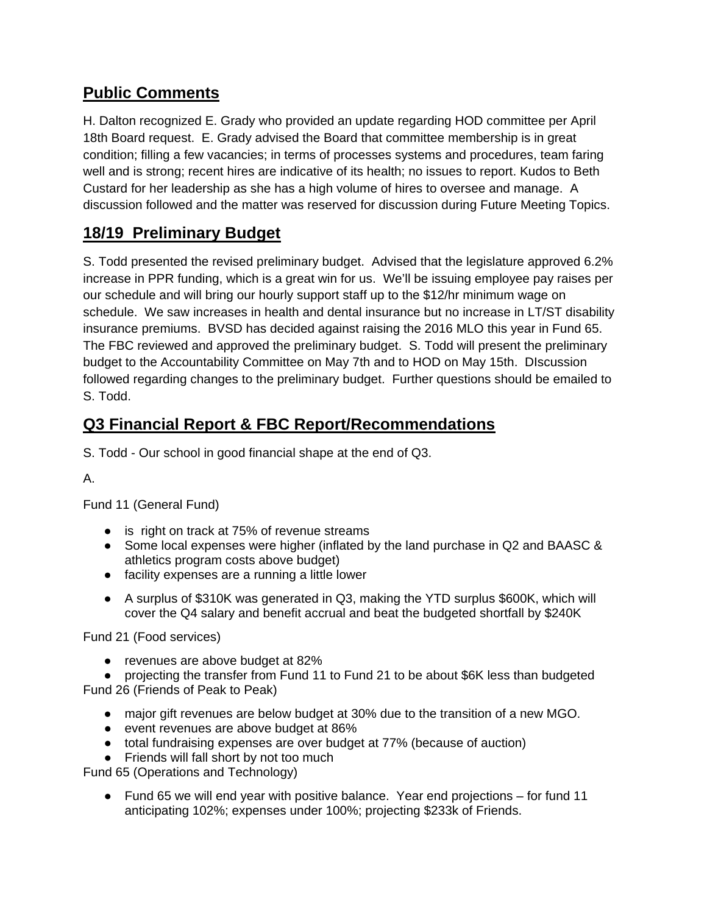# **Public Comments**

H. Dalton recognized E. Grady who provided an update regarding HOD committee per April 18th Board request. E. Grady advised the Board that committee membership is in great condition; filling a few vacancies; in terms of processes systems and procedures, team faring well and is strong; recent hires are indicative of its health; no issues to report. Kudos to Beth Custard for her leadership as she has a high volume of hires to oversee and manage. A discussion followed and the matter was reserved for discussion during Future Meeting Topics.

# **18/19 Preliminary Budget**

S. Todd presented the revised preliminary budget. Advised that the legislature approved 6.2% increase in PPR funding, which is a great win for us. We'll be issuing employee pay raises per our schedule and will bring our hourly support staff up to the \$12/hr minimum wage on schedule. We saw increases in health and dental insurance but no increase in LT/ST disability insurance premiums. BVSD has decided against raising the 2016 MLO this year in Fund 65. The FBC reviewed and approved the preliminary budget. S. Todd will present the preliminary budget to the Accountability Committee on May 7th and to HOD on May 15th. DIscussion followed regarding changes to the preliminary budget. Further questions should be emailed to S. Todd.

## **Q3 Financial Report & FBC Report/Recommendations**

S. Todd - Our school in good financial shape at the end of Q3.

A.

Fund 11 (General Fund)

- is right on track at 75% of revenue streams
- Some local expenses were higher (inflated by the land purchase in Q2 and BAASC & athletics program costs above budget)
- facility expenses are a running a little lower
- A surplus of \$310K was generated in Q3, making the YTD surplus \$600K, which will cover the Q4 salary and benefit accrual and beat the budgeted shortfall by \$240K

Fund 21 (Food services)

● revenues are above budget at 82%

● projecting the transfer from Fund 11 to Fund 21 to be about \$6K less than budgeted Fund 26 (Friends of Peak to Peak)

- major gift revenues are below budget at 30% due to the transition of a new MGO.
- event revenues are above budget at 86%
- total fundraising expenses are over budget at 77% (because of auction)
- Friends will fall short by not too much

Fund 65 (Operations and Technology)

• Fund 65 we will end year with positive balance. Year end projections – for fund 11 anticipating 102%; expenses under 100%; projecting \$233k of Friends.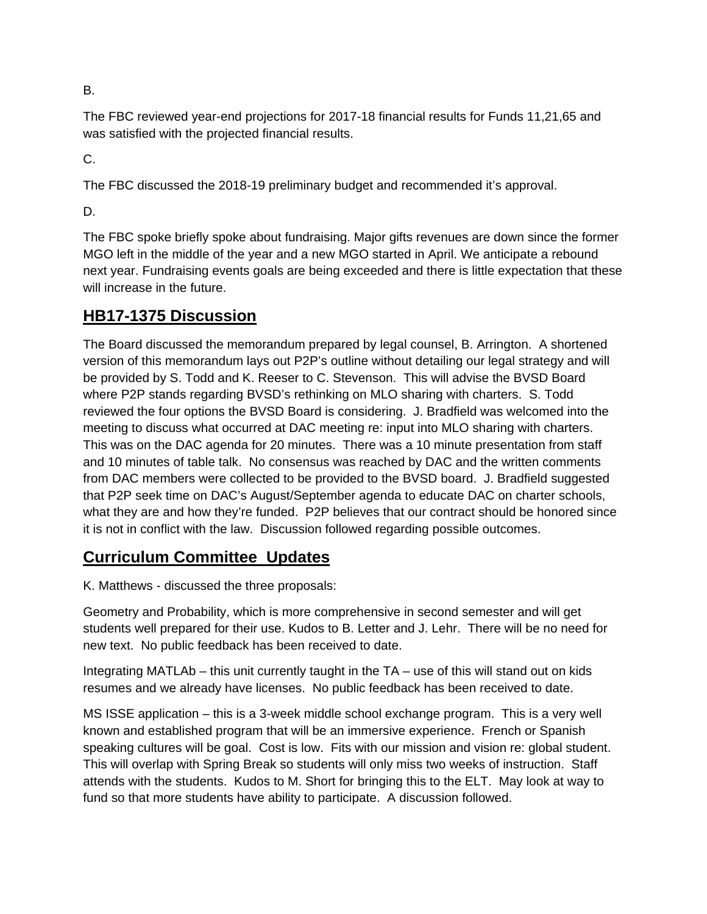B.

The FBC reviewed year-end projections for 2017-18 financial results for Funds 11,21,65 and was satisfied with the projected financial results.

C.

The FBC discussed the 2018-19 preliminary budget and recommended it's approval.

D.

The FBC spoke briefly spoke about fundraising. Major gifts revenues are down since the former MGO left in the middle of the year and a new MGO started in April. We anticipate a rebound next year. Fundraising events goals are being exceeded and there is little expectation that these will increase in the future.

## **HB17-1375 Discussion**

The Board discussed the memorandum prepared by legal counsel, B. Arrington. A shortened version of this memorandum lays out P2P's outline without detailing our legal strategy and will be provided by S. Todd and K. Reeser to C. Stevenson. This will advise the BVSD Board where P2P stands regarding BVSD's rethinking on MLO sharing with charters. S. Todd reviewed the four options the BVSD Board is considering. J. Bradfield was welcomed into the meeting to discuss what occurred at DAC meeting re: input into MLO sharing with charters. This was on the DAC agenda for 20 minutes. There was a 10 minute presentation from staff and 10 minutes of table talk. No consensus was reached by DAC and the written comments from DAC members were collected to be provided to the BVSD board. J. Bradfield suggested that P2P seek time on DAC's August/September agenda to educate DAC on charter schools, what they are and how they're funded. P2P believes that our contract should be honored since it is not in conflict with the law. Discussion followed regarding possible outcomes.

### **Curriculum Committee Updates**

K. Matthews - discussed the three proposals:

Geometry and Probability, which is more comprehensive in second semester and will get students well prepared for their use. Kudos to B. Letter and J. Lehr. There will be no need for new text. No public feedback has been received to date.

Integrating MATLAb – this unit currently taught in the TA – use of this will stand out on kids resumes and we already have licenses. No public feedback has been received to date.

MS ISSE application – this is a 3-week middle school exchange program. This is a very well known and established program that will be an immersive experience. French or Spanish speaking cultures will be goal. Cost is low. Fits with our mission and vision re: global student. This will overlap with Spring Break so students will only miss two weeks of instruction. Staff attends with the students. Kudos to M. Short for bringing this to the ELT. May look at way to fund so that more students have ability to participate. A discussion followed.